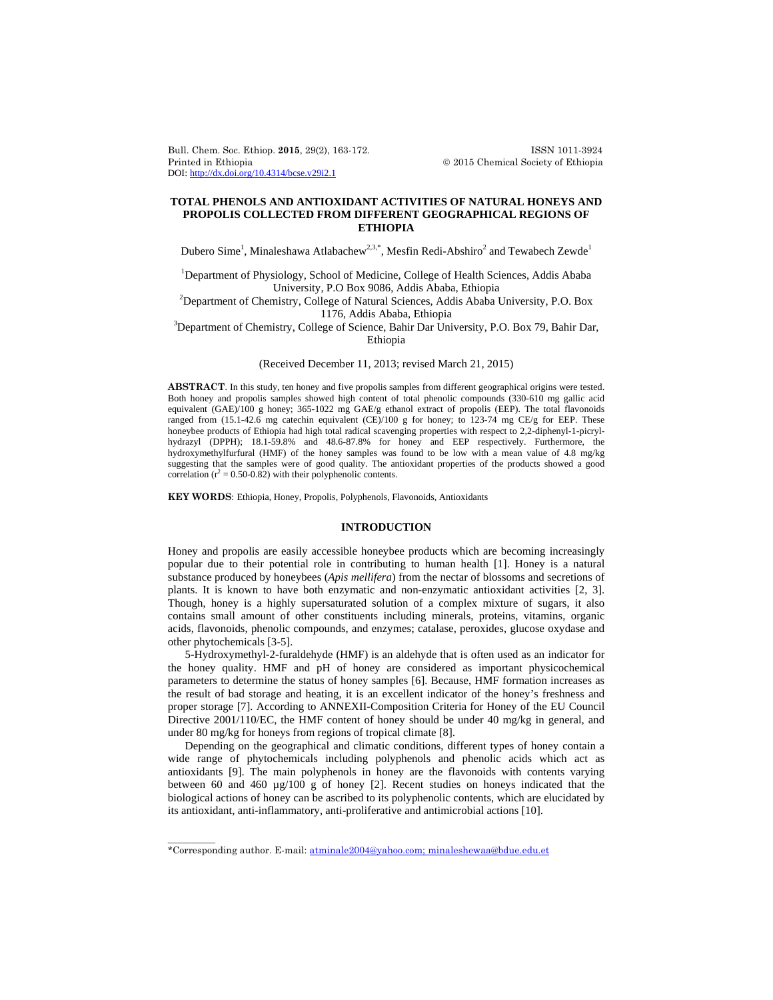Bull. Chem. Soc. Ethiop. **2015**, 29(2), 163-172. ISSN 1011-3924 Printed in Ethiopia  $\oslash$  2015 Chemical Society of Ethiopia DOI: http://dx.doi.org/10.4314/bcse.v29i2.1

# **TOTAL PHENOLS AND ANTIOXIDANT ACTIVITIES OF NATURAL HONEYS AND PROPOLIS COLLECTED FROM DIFFERENT GEOGRAPHICAL REGIONS OF ETHIOPIA**

Dubero Sime $^1$ , Minaleshawa Atlabachew $^{2,3,*}$ , Mesfin Redi-Abshiro $^2$  and Tewabech Zewde $^1$ 

<sup>1</sup>Department of Physiology, School of Medicine, College of Health Sciences, Addis Ababa University, P.O Box 9086, Addis Ababa, Ethiopia 2

 $<sup>2</sup>$ Department of Chemistry, College of Natural Sciences, Addis Ababa University, P.O. Box</sup>

1176, Addis Ababa, Ethiopia 3 Department of Chemistry, College of Science, Bahir Dar University, P.O. Box 79, Bahir Dar, Ethiopia

(Received December 11, 2013; revised March 21, 2015)

**ABSTRACT**. In this study, ten honey and five propolis samples from different geographical origins were tested. Both honey and propolis samples showed high content of total phenolic compounds (330-610 mg gallic acid equivalent (GAE)/100 g honey; 365-1022 mg GAE/g ethanol extract of propolis (EEP). The total flavonoids ranged from  $(15.1-42.6 \text{ mg catechin equivalent (CE})/100 \text{ g}$  for honey; to  $123-74 \text{ mg CE/g}$  for EEP. These honeybee products of Ethiopia had high total radical scavenging properties with respect to 2,2-diphenyl-1-picrylhydrazyl (DPPH); 18.1-59.8% and 48.6-87.8% for honey and EEP respectively. Furthermore, the hydroxymethylfurfural (HMF) of the honey samples was found to be low with a mean value of 4.8 mg/kg suggesting that the samples were of good quality. The antioxidant properties of the products showed a good correlation  $(r^2 = 0.50 - 0.82)$  with their polyphenolic contents.

**KEY WORDS**: Ethiopia, Honey, Propolis, Polyphenols, Flavonoids, Antioxidants

# **INTRODUCTION**

Honey and propolis are easily accessible honeybee products which are becoming increasingly popular due to their potential role in contributing to human health [1]. Honey is a natural substance produced by honeybees (*Apis mellifera*) from the nectar of blossoms and secretions of plants. It is known to have both enzymatic and non-enzymatic antioxidant activities [2, 3]. Though, honey is a highly supersaturated solution of a complex mixture of sugars, it also contains small amount of other constituents including minerals, proteins, vitamins, organic acids, flavonoids, phenolic compounds, and enzymes; catalase, peroxides, glucose oxydase and other phytochemicals [3-5].

5-Hydroxymethyl-2-furaldehyde (HMF) is an aldehyde that is often used as an indicator for the honey quality. HMF and pH of honey are considered as important physicochemical parameters to determine the status of honey samples [6]. Because, HMF formation increases as the result of bad storage and heating, it is an excellent indicator of the honey's freshness and proper storage [7]. According to ANNEXII-Composition Criteria for Honey of the EU Council Directive 2001/110/EC, the HMF content of honey should be under 40 mg/kg in general, and under 80 mg/kg for honeys from regions of tropical climate [8].

Depending on the geographical and climatic conditions, different types of honey contain a wide range of phytochemicals including polyphenols and phenolic acids which act as antioxidants [9]. The main polyphenols in honey are the flavonoids with contents varying between 60 and 460 µg/100 g of honey [2]. Recent studies on honeys indicated that the biological actions of honey can be ascribed to its polyphenolic contents, which are elucidated by its antioxidant, anti-inflammatory, anti-proliferative and antimicrobial actions [10].

 $\overline{\phantom{a}}$ 

<sup>\*</sup>Corresponding author. E-mail: atminale2004@yahoo.com; minaleshewaa@bdue.edu.et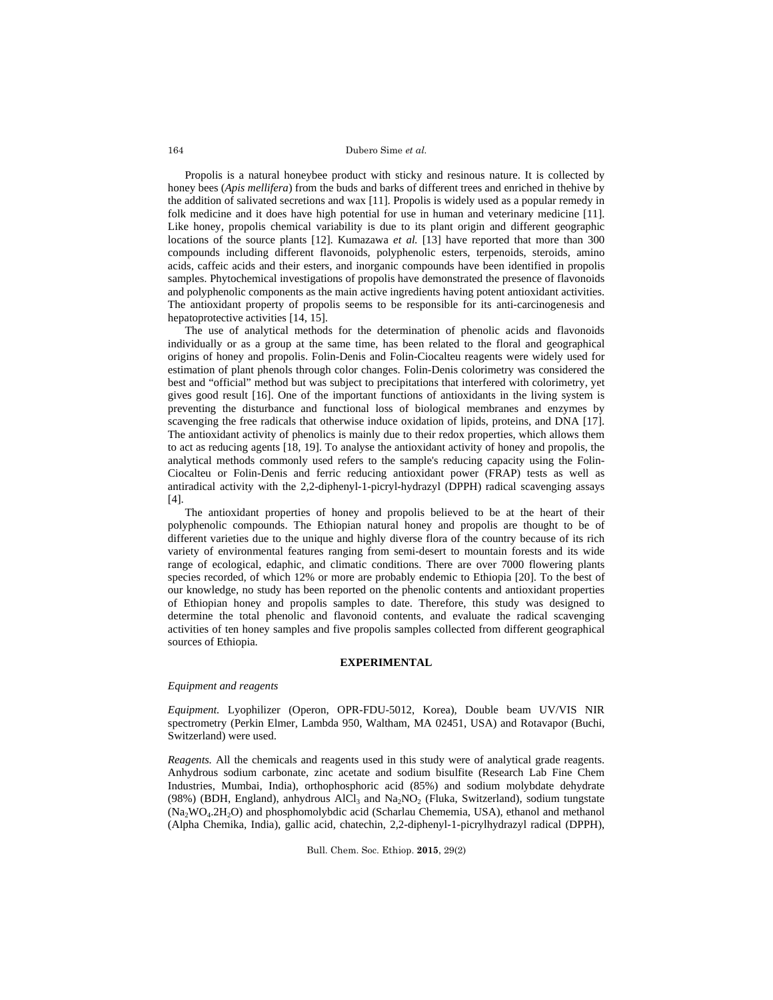Propolis is a natural honeybee product with sticky and resinous nature. It is collected by honey bees (*Apis mellifera*) from the buds and barks of different trees and enriched in thehive by the addition of salivated secretions and wax [11]. Propolis is widely used as a popular remedy in folk medicine and it does have high potential for use in human and veterinary medicine [11]. Like honey, propolis chemical variability is due to its plant origin and different geographic locations of the source plants [12]. Kumazawa *et al.* [13] have reported that more than 300 compounds including different flavonoids, polyphenolic esters, terpenoids, steroids, amino acids, caffeic acids and their esters, and inorganic compounds have been identified in propolis samples. Phytochemical investigations of propolis have demonstrated the presence of flavonoids and polyphenolic components as the main active ingredients having potent antioxidant activities. The antioxidant property of propolis seems to be responsible for its anti-carcinogenesis and hepatoprotective activities [14, 15].

The use of analytical methods for the determination of phenolic acids and flavonoids individually or as a group at the same time, has been related to the floral and geographical origins of honey and propolis. Folin-Denis and Folin-Ciocalteu reagents were widely used for estimation of plant phenols through color changes. Folin-Denis colorimetry was considered the best and "official" method but was subject to precipitations that interfered with colorimetry, yet gives good result [16]. One of the important functions of antioxidants in the living system is preventing the disturbance and functional loss of biological membranes and enzymes by scavenging the free radicals that otherwise induce oxidation of lipids, proteins, and DNA [17]. The antioxidant activity of phenolics is mainly due to their redox properties, which allows them to act as reducing agents [18, 19]. To analyse the antioxidant activity of honey and propolis, the analytical methods commonly used refers to the sample's reducing capacity using the Folin-Ciocalteu or Folin-Denis and ferric reducing antioxidant power (FRAP) tests as well as antiradical activity with the 2,2-diphenyl-1-picryl-hydrazyl (DPPH) radical scavenging assays [4].

The antioxidant properties of honey and propolis believed to be at the heart of their polyphenolic compounds. The Ethiopian natural honey and propolis are thought to be of different varieties due to the unique and highly diverse flora of the country because of its rich variety of environmental features ranging from semi-desert to mountain forests and its wide range of ecological, edaphic, and climatic conditions. There are over 7000 flowering plants species recorded, of which 12% or more are probably endemic to Ethiopia [20]. To the best of our knowledge, no study has been reported on the phenolic contents and antioxidant properties of Ethiopian honey and propolis samples to date. Therefore, this study was designed to determine the total phenolic and flavonoid contents, and evaluate the radical scavenging activities of ten honey samples and five propolis samples collected from different geographical sources of Ethiopia.

#### **EXPERIMENTAL**

## *Equipment and reagents*

*Equipment.* Lyophilizer (Operon, OPR-FDU-5012, Korea), Double beam UV/VIS NIR spectrometry (Perkin Elmer, Lambda 950, Waltham, MA 02451, USA) and Rotavapor (Buchi, Switzerland) were used.

*Reagents.* All the chemicals and reagents used in this study were of analytical grade reagents. Anhydrous sodium carbonate, zinc acetate and sodium bisulfite (Research Lab Fine Chem Industries, Mumbai, India), orthophosphoric acid (85%) and sodium molybdate dehydrate (98%) (BDH, England), anhydrous AlCl<sub>3</sub> and Na<sub>2</sub>NO<sub>2</sub> (Fluka, Switzerland), sodium tungstate (Na2WO4.2H2O) and phosphomolybdic acid (Scharlau Chememia, USA), ethanol and methanol (Alpha Chemika, India), gallic acid, chatechin, 2,2-diphenyl-1-picrylhydrazyl radical (DPPH),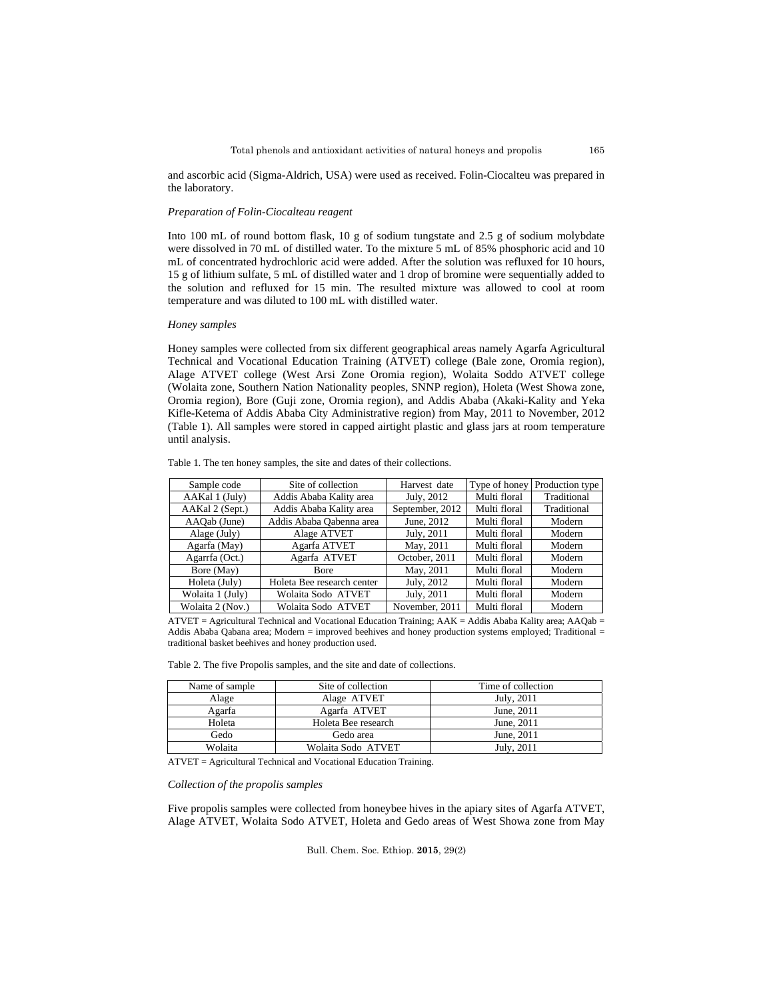and ascorbic acid (Sigma-Aldrich, USA) were used as received. Folin-Ciocalteu was prepared in the laboratory.

## *Preparation of Folin-Ciocalteau reagent*

Into 100 mL of round bottom flask, 10 g of sodium tungstate and 2.5 g of sodium molybdate were dissolved in 70 mL of distilled water. To the mixture 5 mL of 85% phosphoric acid and 10 mL of concentrated hydrochloric acid were added. After the solution was refluxed for 10 hours, 15 g of lithium sulfate, 5 mL of distilled water and 1 drop of bromine were sequentially added to the solution and refluxed for 15 min. The resulted mixture was allowed to cool at room temperature and was diluted to 100 mL with distilled water.

## *Honey samples*

Honey samples were collected from six different geographical areas namely Agarfa Agricultural Technical and Vocational Education Training (ATVET) college (Bale zone, Oromia region), Alage ATVET college (West Arsi Zone Oromia region), Wolaita Soddo ATVET college (Wolaita zone, Southern Nation Nationality peoples, SNNP region), Holeta (West Showa zone, Oromia region), Bore (Guji zone, Oromia region), and Addis Ababa (Akaki-Kality and Yeka Kifle-Ketema of Addis Ababa City Administrative region) from May, 2011 to November, 2012 (Table 1). All samples were stored in capped airtight plastic and glass jars at room temperature until analysis.

| Sample code      | Site of collection         | Harvest date    | Type of honey | Production type |
|------------------|----------------------------|-----------------|---------------|-----------------|
| AAKal 1 (July)   | Addis Ababa Kality area    | July, 2012      | Multi floral  | Traditional     |
| AAKal 2 (Sept.)  | Addis Ababa Kality area    | September, 2012 | Multi floral  | Traditional     |
| AAQab (June)     | Addis Ababa Oabenna area   | June, 2012      | Multi floral  | Modern          |
| Alage (July)     | Alage ATVET                | July, 2011      | Multi floral  | Modern          |
| Agarfa (May)     | Agarfa ATVET               | May, 2011       | Multi floral  | Modern          |
| Agarrfa (Oct.)   | Agarfa ATVET               | October, 2011   | Multi floral  | Modern          |
| Bore (May)       | Bore                       | May, 2011       | Multi floral  | Modern          |
| Holeta (July)    | Holeta Bee research center | July, 2012      | Multi floral  | Modern          |
| Wolaita 1 (July) | Wolaita Sodo ATVET         | July, 2011      | Multi floral  | Modern          |
| Wolaita 2 (Nov.) | Wolaita Sodo ATVET         | November, 2011  | Multi floral  | Modern          |

Table 1. The ten honey samples, the site and dates of their collections.

ATVET = Agricultural Technical and Vocational Education Training; AAK = Addis Ababa Kality area; AAQab = Addis Ababa Qabana area; Modern = improved beehives and honey production systems employed; Traditional = traditional basket beehives and honey production used.

|  |  |  |  |  |  |  |  | Table 2. The five Propolis samples, and the site and date of collections. |
|--|--|--|--|--|--|--|--|---------------------------------------------------------------------------|
|--|--|--|--|--|--|--|--|---------------------------------------------------------------------------|

| Name of sample | Site of collection  | Time of collection |
|----------------|---------------------|--------------------|
| Alage          | Alage ATVET         | July, 2011         |
| Agarfa         | Agarfa ATVET        | June, 2011         |
| Holeta         | Holeta Bee research | June, 2011         |
| Gedo           | Gedo area           | June, 2011         |
| Wolaita        | Wolaita Sodo ATVET  | July, 2011         |

ATVET = Agricultural Technical and Vocational Education Training.

### *Collection of the propolis samples*

Five propolis samples were collected from honeybee hives in the apiary sites of Agarfa ATVET, Alage ATVET, Wolaita Sodo ATVET, Holeta and Gedo areas of West Showa zone from May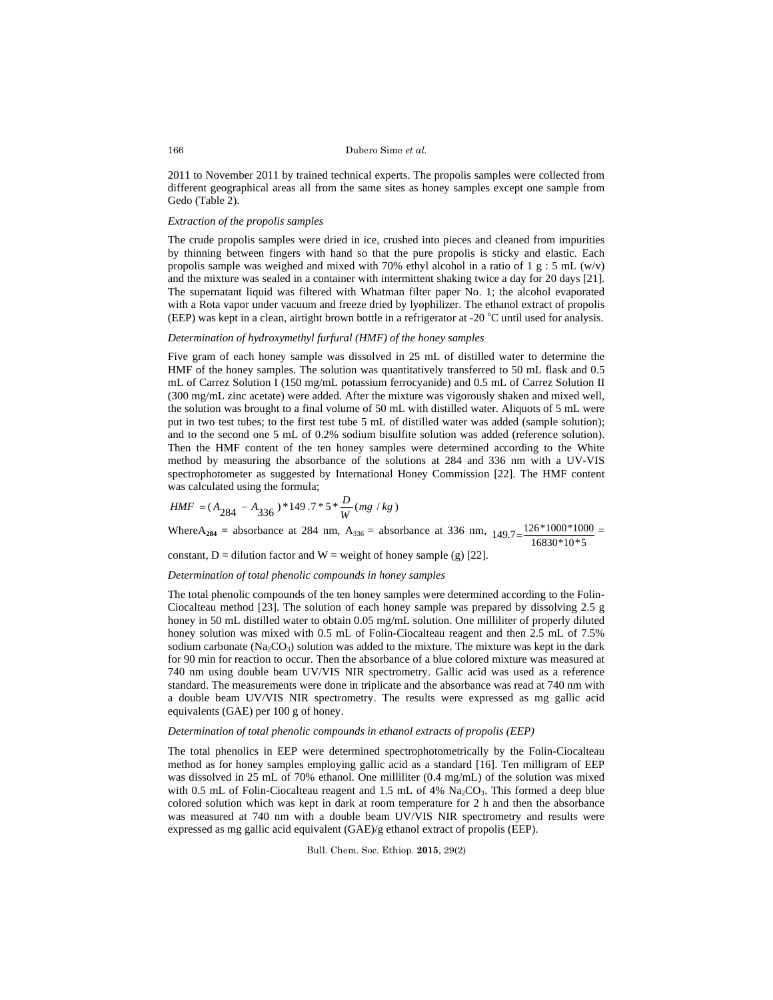2011 to November 2011 by trained technical experts. The propolis samples were collected from different geographical areas all from the same sites as honey samples except one sample from Gedo (Table 2).

# *Extraction of the propolis samples*

The crude propolis samples were dried in ice, crushed into pieces and cleaned from impurities by thinning between fingers with hand so that the pure propolis is sticky and elastic. Each propolis sample was weighed and mixed with 70% ethyl alcohol in a ratio of 1 g : 5 mL (w/v) and the mixture was sealed in a container with intermittent shaking twice a day for 20 days [21]. The supernatant liquid was filtered with Whatman filter paper No. 1; the alcohol evaporated with a Rota vapor under vacuum and freeze dried by lyophilizer. The ethanol extract of propolis (EEP) was kept in a clean, airtight brown bottle in a refrigerator at -20 °C until used for analysis.

## *Determination of hydroxymethyl furfural (HMF) of the honey samples*

Five gram of each honey sample was dissolved in 25 mL of distilled water to determine the HMF of the honey samples. The solution was quantitatively transferred to 50 mL flask and 0.5 mL of Carrez Solution I (150 mg/mL potassium ferrocyanide) and 0.5 mL of Carrez Solution II (300 mg/mL zinc acetate) were added. After the mixture was vigorously shaken and mixed well, the solution was brought to a final volume of 50 mL with distilled water. Aliquots of 5 mL were put in two test tubes; to the first test tube 5 mL of distilled water was added (sample solution); and to the second one 5 mL of 0.2% sodium bisulfite solution was added (reference solution). Then the HMF content of the ten honey samples were determined according to the White method by measuring the absorbance of the solutions at 284 and 336 nm with a UV-VIS spectrophotometer as suggested by International Honey Commission [22]. The HMF content was calculated using the formula;

$$
HMF = (A_{284} - A_{336}) * 149.7 * 5 * \frac{D}{W} (mg/kg)
$$

Where $A_{284}$  = absorbance at 284 nm,  $A_{336}$  = absorbance at 336 nm,  $149.7 = \frac{126*1000*1000}{16830*10*5}$ 

constant, D = dilution factor and W = weight of honey sample (g) [22].

## *Determination of total phenolic compounds in honey samples*

The total phenolic compounds of the ten honey samples were determined according to the Folin-Ciocalteau method [23]. The solution of each honey sample was prepared by dissolving 2.5 g honey in 50 mL distilled water to obtain 0.05 mg/mL solution. One milliliter of properly diluted honey solution was mixed with 0.5 mL of Folin-Ciocalteau reagent and then 2.5 mL of 7.5% sodium carbonate ( $Na_2CO_3$ ) solution was added to the mixture. The mixture was kept in the dark for 90 min for reaction to occur. Then the absorbance of a blue colored mixture was measured at 740 nm using double beam UV/VIS NIR spectrometry. Gallic acid was used as a reference standard. The measurements were done in triplicate and the absorbance was read at 740 nm with a double beam UV/VIS NIR spectrometry. The results were expressed as mg gallic acid equivalents (GAE) per 100 g of honey.

# *Determination of total phenolic compounds in ethanol extracts of propolis (EEP)*

The total phenolics in EEP were determined spectrophotometrically by the Folin-Ciocalteau method as for honey samples employing gallic acid as a standard [16]. Ten milligram of EEP was dissolved in 25 mL of 70% ethanol. One milliliter (0.4 mg/mL) of the solution was mixed with 0.5 mL of Folin-Ciocalteau reagent and 1.5 mL of 4%  $\text{Na}_2\text{CO}_3$ . This formed a deep blue colored solution which was kept in dark at room temperature for 2 h and then the absorbance was measured at 740 nm with a double beam UV/VIS NIR spectrometry and results were expressed as mg gallic acid equivalent (GAE)/g ethanol extract of propolis (EEP).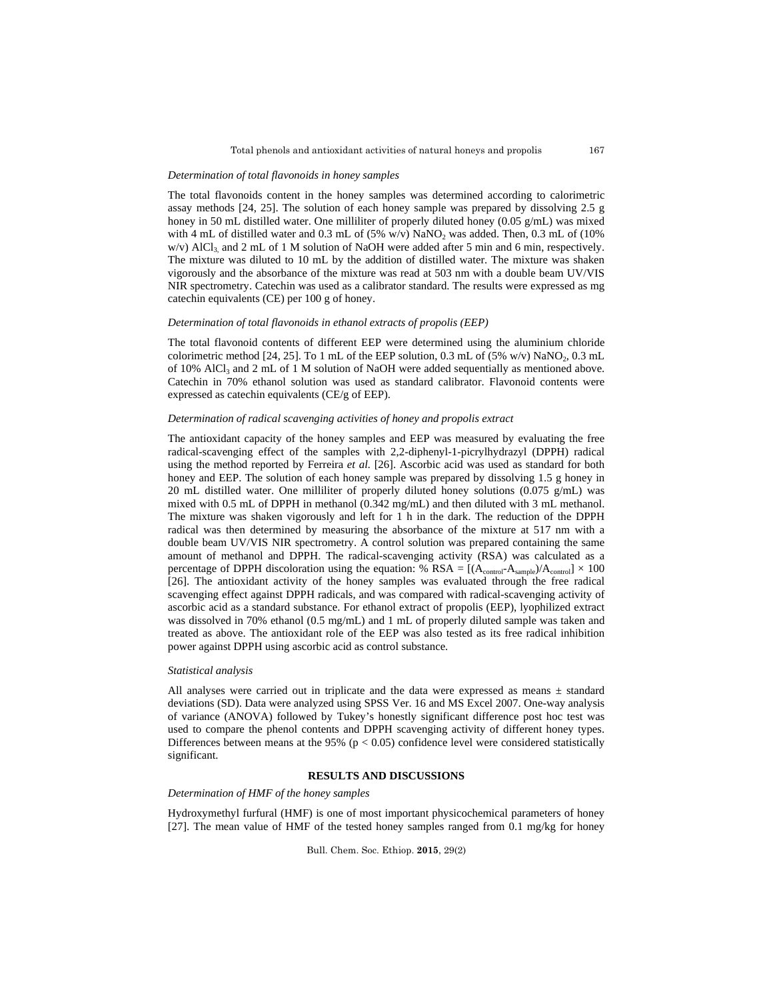#### *Determination of total flavonoids in honey samples*

The total flavonoids content in the honey samples was determined according to calorimetric assay methods [24, 25]. The solution of each honey sample was prepared by dissolving 2.5 g honey in 50 mL distilled water. One milliliter of properly diluted honey (0.05 g/mL) was mixed with 4 mL of distilled water and 0.3 mL of  $(5\% \text{ w/v})$  NaNO<sub>2</sub> was added. Then, 0.3 mL of  $(10\%$  $w/v$ ) AlCl<sub>3</sub> and 2 mL of 1 M solution of NaOH were added after 5 min and 6 min, respectively. The mixture was diluted to 10 mL by the addition of distilled water. The mixture was shaken vigorously and the absorbance of the mixture was read at 503 nm with a double beam UV/VIS NIR spectrometry. Catechin was used as a calibrator standard. The results were expressed as mg catechin equivalents (CE) per 100 g of honey.

## *Determination of total flavonoids in ethanol extracts of propolis (EEP)*

The total flavonoid contents of different EEP were determined using the aluminium chloride colorimetric method  $[24, 25]$ . To 1 mL of the EEP solution, 0.3 mL of  $(5\% \text{ w/v})$  NaNO<sub>2</sub>, 0.3 mL of 10% AlCl<sub>3</sub> and 2 mL of 1 M solution of NaOH were added sequentially as mentioned above. Catechin in 70% ethanol solution was used as standard calibrator. Flavonoid contents were expressed as catechin equivalents (CE/g of EEP).

# *Determination of radical scavenging activities of honey and propolis extract*

The antioxidant capacity of the honey samples and EEP was measured by evaluating the free radical-scavenging effect of the samples with 2,2-diphenyl-1-picrylhydrazyl (DPPH) radical using the method reported by Ferreira *et al.* [26]. Ascorbic acid was used as standard for both honey and EEP. The solution of each honey sample was prepared by dissolving 1.5 g honey in 20 mL distilled water. One milliliter of properly diluted honey solutions  $(0.075 \text{ g/mL})$  was mixed with 0.5 mL of DPPH in methanol (0.342 mg/mL) and then diluted with 3 mL methanol. The mixture was shaken vigorously and left for 1 h in the dark. The reduction of the DPPH radical was then determined by measuring the absorbance of the mixture at 517 nm with a double beam UV/VIS NIR spectrometry. A control solution was prepared containing the same amount of methanol and DPPH. The radical-scavenging activity (RSA) was calculated as a percentage of DPPH discoloration using the equation: %  $RSA = [(A_{control} - A_{sample})/A_{control}] \times 100$ [26]. The antioxidant activity of the honey samples was evaluated through the free radical scavenging effect against DPPH radicals, and was compared with radical-scavenging activity of ascorbic acid as a standard substance. For ethanol extract of propolis (EEP), lyophilized extract was dissolved in 70% ethanol (0.5 mg/mL) and 1 mL of properly diluted sample was taken and treated as above. The antioxidant role of the EEP was also tested as its free radical inhibition power against DPPH using ascorbic acid as control substance.

#### *Statistical analysis*

All analyses were carried out in triplicate and the data were expressed as means  $\pm$  standard deviations (SD). Data were analyzed using SPSS Ver. 16 and MS Excel 2007. One-way analysis of variance (ANOVA) followed by Tukey's honestly significant difference post hoc test was used to compare the phenol contents and DPPH scavenging activity of different honey types. Differences between means at the 95% ( $p < 0.05$ ) confidence level were considered statistically significant.

# **RESULTS AND DISCUSSIONS**

# *Determination of HMF of the honey samples*

Hydroxymethyl furfural (HMF) is one of most important physicochemical parameters of honey [27]. The mean value of HMF of the tested honey samples ranged from 0.1 mg/kg for honey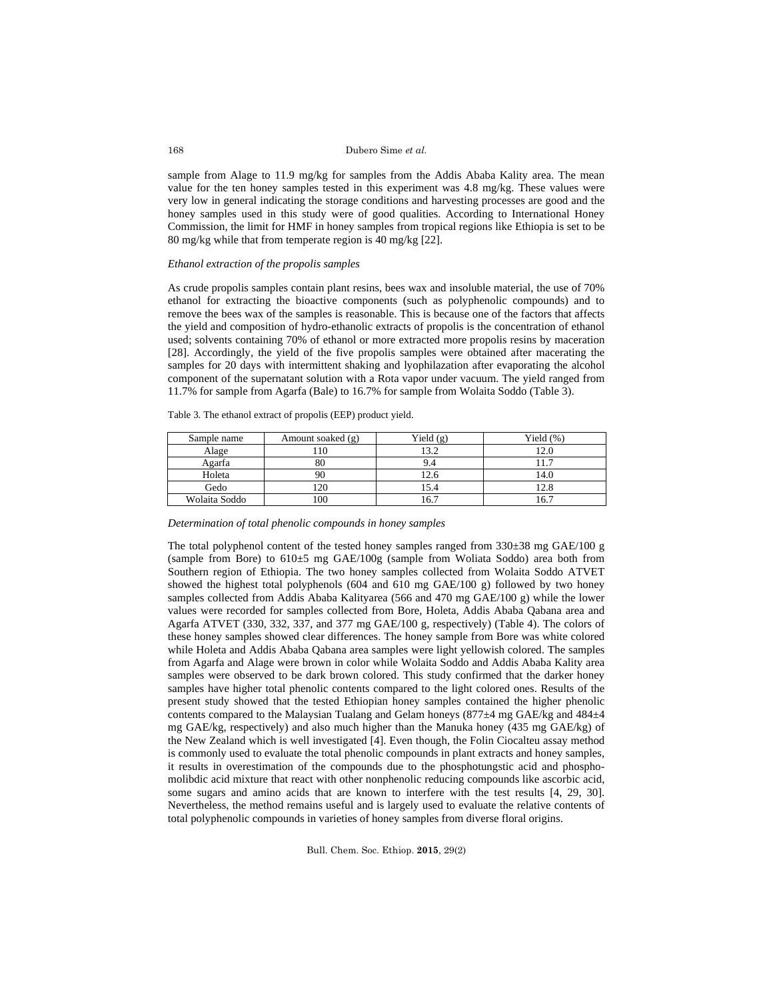sample from Alage to 11.9 mg/kg for samples from the Addis Ababa Kality area. The mean value for the ten honey samples tested in this experiment was 4.8 mg/kg. These values were very low in general indicating the storage conditions and harvesting processes are good and the honey samples used in this study were of good qualities. According to International Honey Commission, the limit for HMF in honey samples from tropical regions like Ethiopia is set to be 80 mg/kg while that from temperate region is 40 mg/kg [22].

# *Ethanol extraction of the propolis samples*

As crude propolis samples contain plant resins, bees wax and insoluble material, the use of 70% ethanol for extracting the bioactive components (such as polyphenolic compounds) and to remove the bees wax of the samples is reasonable. This is because one of the factors that affects the yield and composition of hydro-ethanolic extracts of propolis is the concentration of ethanol used; solvents containing 70% of ethanol or more extracted more propolis resins by maceration [28]. Accordingly, the yield of the five propolis samples were obtained after macerating the samples for 20 days with intermittent shaking and lyophilazation after evaporating the alcohol component of the supernatant solution with a Rota vapor under vacuum. The yield ranged from 11.7% for sample from Agarfa (Bale) to 16.7% for sample from Wolaita Soddo (Table 3).

Table 3. The ethanol extract of propolis (EEP) product yield.

| Sample name   | Amount soaked (g) | Yield $(g)$ | Yield $(\%)$ |
|---------------|-------------------|-------------|--------------|
| Alage         | 10                | 13.2        | 2.0          |
| Agarfa        | 80                | 9.4         |              |
| Holeta        |                   | 12.6        | 4.0          |
| Gedo          | 20                | 15.4        | 12.8         |
| Wolaita Soddo | 100               | 16.7        | 16.7         |

*Determination of total phenolic compounds in honey samples* 

The total polyphenol content of the tested honey samples ranged from  $330\pm38$  mg GAE/100 g (sample from Bore) to 610±5 mg GAE/100g (sample from Woliata Soddo) area both from Southern region of Ethiopia. The two honey samples collected from Wolaita Soddo ATVET showed the highest total polyphenols (604 and 610 mg GAE/100 g) followed by two honey samples collected from Addis Ababa Kalityarea (566 and 470 mg GAE/100 g) while the lower values were recorded for samples collected from Bore, Holeta, Addis Ababa Qabana area and Agarfa ATVET (330, 332, 337, and 377 mg GAE/100 g, respectively) (Table 4). The colors of these honey samples showed clear differences. The honey sample from Bore was white colored while Holeta and Addis Ababa Qabana area samples were light yellowish colored. The samples from Agarfa and Alage were brown in color while Wolaita Soddo and Addis Ababa Kality area samples were observed to be dark brown colored. This study confirmed that the darker honey samples have higher total phenolic contents compared to the light colored ones. Results of the present study showed that the tested Ethiopian honey samples contained the higher phenolic contents compared to the Malaysian Tualang and Gelam honeys (877±4 mg GAE/kg and 484±4 mg GAE/kg, respectively) and also much higher than the Manuka honey (435 mg GAE/kg) of the New Zealand which is well investigated [4]. Even though, the Folin Ciocalteu assay method is commonly used to evaluate the total phenolic compounds in plant extracts and honey samples, it results in overestimation of the compounds due to the phosphotungstic acid and phosphomolibdic acid mixture that react with other nonphenolic reducing compounds like ascorbic acid, some sugars and amino acids that are known to interfere with the test results [4, 29, 30]. Nevertheless, the method remains useful and is largely used to evaluate the relative contents of total polyphenolic compounds in varieties of honey samples from diverse floral origins.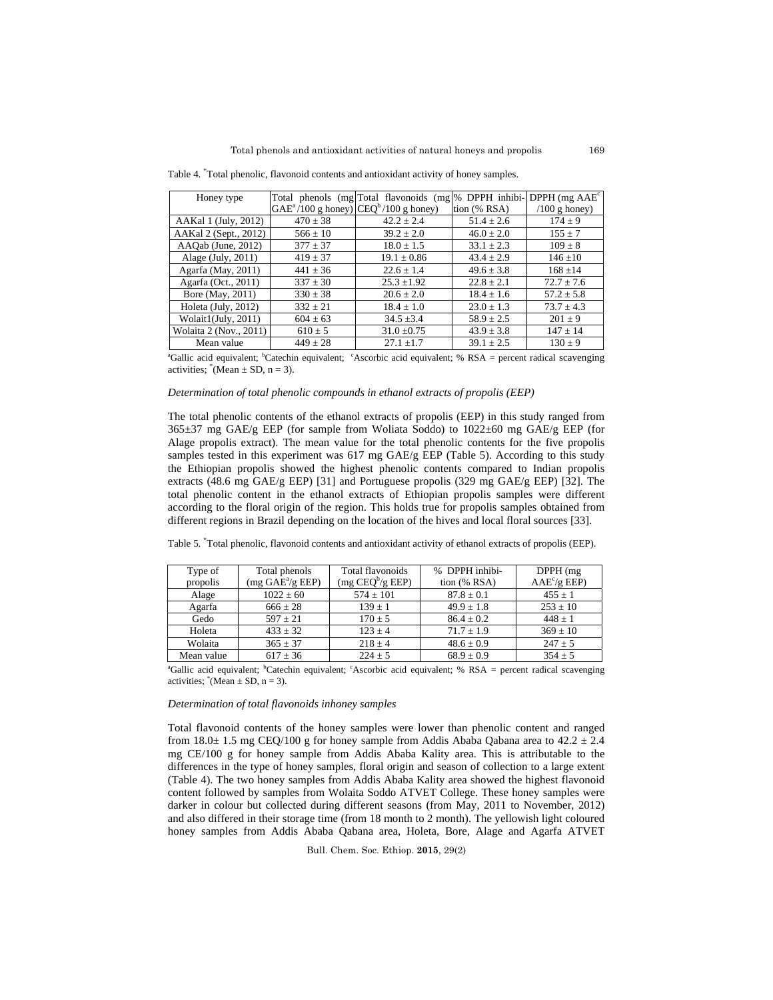Table 4. \* Total phenolic, flavonoid contents and antioxidant activity of honey samples.

| Honey type             |                                           | Total phenols (mg Total flavonoids (mg % DPPH inhibi- DPPH (mg $AAEc$ |                |                 |
|------------------------|-------------------------------------------|-----------------------------------------------------------------------|----------------|-----------------|
|                        | $GAE^a/100$ g honey) $CEQ^b/100$ g honey) |                                                                       | tion $(%$ RSA) | $/100$ g honey) |
| AAKal 1 (July, 2012)   | $470 \pm 38$                              | $42.2 \pm 2.4$                                                        | $51.4 \pm 2.6$ | $174 \pm 9$     |
| AAKal 2 (Sept., 2012)  | $566 \pm 10$                              | $39.2 + 2.0$                                                          | $46.0 \pm 2.0$ | $155 \pm 7$     |
| AAQab (June, 2012)     | $377 \pm 37$                              | $18.0 \pm 1.5$                                                        | $33.1 \pm 2.3$ | $109 \pm 8$     |
| Alage $(July, 2011)$   | $419 \pm 37$                              | $19.1 \pm 0.86$                                                       | $43.4 + 2.9$   | $146 \pm 10$    |
| Agarfa (May, 2011)     | $441 \pm 36$                              | $22.6 \pm 1.4$                                                        | $49.6 \pm 3.8$ | $168 + 14$      |
| Agarfa (Oct., 2011)    | $337 \pm 30$                              | $25.3 \pm 1.92$                                                       | $22.8 \pm 2.1$ | $72.7 \pm 7.6$  |
| Bore (May, 2011)       | $330 \pm 38$                              | $20.6 \pm 2.0$                                                        | $18.4 \pm 1.6$ | $57.2 \pm 5.8$  |
| Holeta (July, 2012)    | $332 + 21$                                | $18.4 \pm 1.0$                                                        | $23.0 \pm 1.3$ | $73.7 + 4.3$    |
| Wolait1(July, 2011)    | $604 \pm 63$                              | $34.5 \pm 3.4$                                                        | $58.9 \pm 2.5$ | $201 \pm 9$     |
| Wolaita 2 (Nov., 2011) | $610 \pm 5$                               | $31.0 \pm 0.75$                                                       | $43.9 \pm 3.8$ | $147 \pm 14$    |
| Mean value             | $449 \pm 28$                              | $27.1 \pm 1.7$                                                        | $39.1 \pm 2.5$ | $130 \pm 9$     |

<sup>a</sup>Gallic acid equivalent; <sup>b</sup>Catechin equivalent; <sup>c</sup>Ascorbic acid equivalent; % RSA = percent radical scavenging activities;  $(Nean \pm SD, n = 3)$ .

## *Determination of total phenolic compounds in ethanol extracts of propolis (EEP)*

The total phenolic contents of the ethanol extracts of propolis (EEP) in this study ranged from 365±37 mg GAE/g EEP (for sample from Woliata Soddo) to 1022±60 mg GAE/g EEP (for Alage propolis extract). The mean value for the total phenolic contents for the five propolis samples tested in this experiment was 617 mg GAE/g EEP (Table 5). According to this study the Ethiopian propolis showed the highest phenolic contents compared to Indian propolis extracts (48.6 mg GAE/g EEP) [31] and Portuguese propolis (329 mg GAE/g EEP) [32]. The total phenolic content in the ethanol extracts of Ethiopian propolis samples were different according to the floral origin of the region. This holds true for propolis samples obtained from different regions in Brazil depending on the location of the hives and local floral sources [33].

|  | Table 5. Total phenolic, flavonoid contents and antioxidant activity of ethanol extracts of propolis (EEP). |  |  |  |  |  |  |  |  |
|--|-------------------------------------------------------------------------------------------------------------|--|--|--|--|--|--|--|--|
|--|-------------------------------------------------------------------------------------------------------------|--|--|--|--|--|--|--|--|

| Type of<br>propolis | Total phenols<br>(mg GAE <sup>a</sup> /g EEP) | Total flavonoids<br>$(mg \t\mathbf{C} \mathbf{E} \mathbf{Q}^b/g \t\mathbf{E} \mathbf{E} \mathbf{P})$ | % DPPH inhibi-<br>tion $(%$ RSA) | DPPH(mg)<br>$AAE^{c}/g$ EEP) |
|---------------------|-----------------------------------------------|------------------------------------------------------------------------------------------------------|----------------------------------|------------------------------|
| Alage               | $1022 \pm 60$                                 | $574 \pm 101$                                                                                        | $87.8 \pm 0.1$                   | $455 \pm 1$                  |
| Agarfa              | $666 \pm 28$                                  | $139 + 1$                                                                                            | $49.9 + 1.8$                     | $253 \pm 10$                 |
| Gedo                | $597 + 21$                                    | $170 \pm 5$                                                                                          | $86.4 + 0.2$                     | $448 + 1$                    |
| Holeta              | $433 \pm 32$                                  | $123 + 4$                                                                                            | $71.7 \pm 1.9$                   | $369 \pm 10$                 |
| Wolaita             | $365 + 37$                                    | $218 + 4$                                                                                            | $48.6 \pm 0.9$                   | $247 + 5$                    |
| Mean value          | $617 \pm 36$                                  | $224 + 5$                                                                                            | $68.9 \pm 0.9$                   | $354 \pm 5$                  |

<sup>a</sup>Gallic acid equivalent; <sup>b</sup>Catechin equivalent; <sup>c</sup>Ascorbic acid equivalent; % RSA = percent radical scavenging activities;  $^*(Mean \pm SD, n = 3)$ .

# *Determination of total flavonoids inhoney samples*

Total flavonoid contents of the honey samples were lower than phenolic content and ranged from 18.0 $\pm$  1.5 mg CEQ/100 g for honey sample from Addis Ababa Qabana area to 42.2  $\pm$  2.4 mg CE/100 g for honey sample from Addis Ababa Kality area. This is attributable to the differences in the type of honey samples, floral origin and season of collection to a large extent (Table 4). The two honey samples from Addis Ababa Kality area showed the highest flavonoid content followed by samples from Wolaita Soddo ATVET College. These honey samples were darker in colour but collected during different seasons (from May, 2011 to November, 2012) and also differed in their storage time (from 18 month to 2 month). The yellowish light coloured honey samples from Addis Ababa Qabana area, Holeta, Bore, Alage and Agarfa ATVET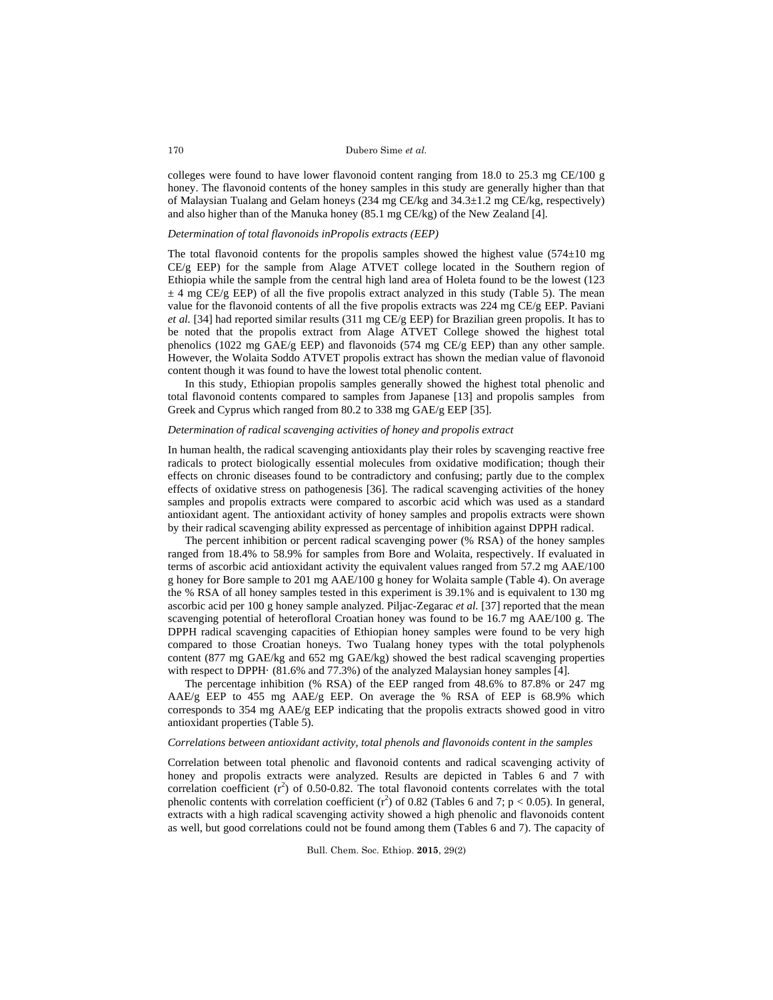colleges were found to have lower flavonoid content ranging from 18.0 to 25.3 mg CE/100 g honey. The flavonoid contents of the honey samples in this study are generally higher than that of Malaysian Tualang and Gelam honeys (234 mg CE/kg and 34.3±1.2 mg CE/kg, respectively) and also higher than of the Manuka honey (85.1 mg CE/kg) of the New Zealand [4].

# *Determination of total flavonoids inPropolis extracts (EEP)*

The total flavonoid contents for the propolis samples showed the highest value  $(574\pm10 \text{ mg})$ CE/g EEP) for the sample from Alage ATVET college located in the Southern region of Ethiopia while the sample from the central high land area of Holeta found to be the lowest (123  $\pm$  4 mg CE/g EEP) of all the five propolis extract analyzed in this study (Table 5). The mean value for the flavonoid contents of all the five propolis extracts was 224 mg CE/g EEP. Paviani *et al.* [34] had reported similar results (311 mg CE/g EEP) for Brazilian green propolis. It has to be noted that the propolis extract from Alage ATVET College showed the highest total phenolics (1022 mg GAE/g EEP) and flavonoids (574 mg CE/g EEP) than any other sample. However, the Wolaita Soddo ATVET propolis extract has shown the median value of flavonoid content though it was found to have the lowest total phenolic content.

In this study, Ethiopian propolis samples generally showed the highest total phenolic and total flavonoid contents compared to samples from Japanese [13] and propolis samples from Greek and Cyprus which ranged from 80.2 to 338 mg GAE/g EEP [35].

# *Determination of radical scavenging activities of honey and propolis extract*

In human health, the radical scavenging antioxidants play their roles by scavenging reactive free radicals to protect biologically essential molecules from oxidative modification; though their effects on chronic diseases found to be contradictory and confusing; partly due to the complex effects of oxidative stress on pathogenesis [36]. The radical scavenging activities of the honey samples and propolis extracts were compared to ascorbic acid which was used as a standard antioxidant agent. The antioxidant activity of honey samples and propolis extracts were shown by their radical scavenging ability expressed as percentage of inhibition against DPPH radical.

The percent inhibition or percent radical scavenging power (% RSA) of the honey samples ranged from 18.4% to 58.9% for samples from Bore and Wolaita, respectively. If evaluated in terms of ascorbic acid antioxidant activity the equivalent values ranged from 57.2 mg AAE/100 g honey for Bore sample to 201 mg AAE/100 g honey for Wolaita sample (Table 4). On average the % RSA of all honey samples tested in this experiment is 39.1% and is equivalent to 130 mg ascorbic acid per 100 g honey sample analyzed. Piljac-Zegarac *et al.* [37] reported that the mean scavenging potential of heterofloral Croatian honey was found to be 16.7 mg AAE/100 g. The DPPH radical scavenging capacities of Ethiopian honey samples were found to be very high compared to those Croatian honeys. Two Tualang honey types with the total polyphenols content (877 mg GAE/kg and 652 mg GAE/kg) showed the best radical scavenging properties with respect to DPPH· (81.6% and 77.3%) of the analyzed Malaysian honey samples [4].

The percentage inhibition (% RSA) of the EEP ranged from 48.6% to 87.8% or 247 mg AAE/g EEP to 455 mg AAE/g EEP. On average the % RSA of EEP is  $68.9\%$  which corresponds to 354 mg AAE/g EEP indicating that the propolis extracts showed good in vitro antioxidant properties (Table 5).

## *Correlations between antioxidant activity, total phenols and flavonoids content in the samples*

Correlation between total phenolic and flavonoid contents and radical scavenging activity of honey and propolis extracts were analyzed. Results are depicted in Tables 6 and 7 with correlation coefficient  $(r^2)$  of 0.50-0.82. The total flavonoid contents correlates with the total phenolic contents with correlation coefficient  $(r^2)$  of 0.82 (Tables 6 and 7; p < 0.05). In general, extracts with a high radical scavenging activity showed a high phenolic and flavonoids content as well, but good correlations could not be found among them (Tables 6 and 7). The capacity of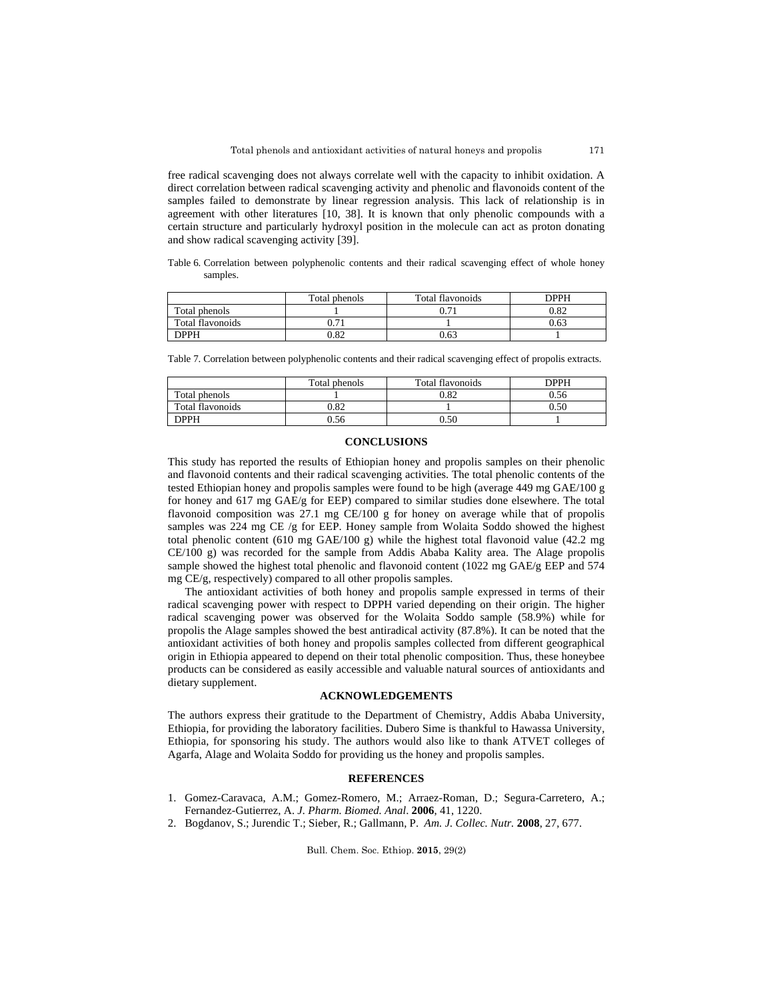free radical scavenging does not always correlate well with the capacity to inhibit oxidation. A direct correlation between radical scavenging activity and phenolic and flavonoids content of the samples failed to demonstrate by linear regression analysis. This lack of relationship is in agreement with other literatures [10, 38]. It is known that only phenolic compounds with a certain structure and particularly hydroxyl position in the molecule can act as proton donating and show radical scavenging activity [39].

Table 6. Correlation between polyphenolic contents and their radical scavenging effect of whole honey samples.

|                  | Total phenols | Total flavonoids | DPPH |
|------------------|---------------|------------------|------|
| Total phenols    |               | $\mathbf{\tau}$  | 0.82 |
| Total flavonoids | 0.71          |                  | 0.63 |
| <b>DPPH</b>      | 0.82          | 0.63             |      |

Table 7. Correlation between polyphenolic contents and their radical scavenging effect of propolis extracts.

|                  | Total phenols | Total flavonoids | DPPH |
|------------------|---------------|------------------|------|
| Total phenols    |               | 0.82             | 0.56 |
| Total flavonoids | 0.82          |                  | 0.50 |
| <b>DPPH</b>      | 0.56          | 0.50             |      |

# **CONCLUSIONS**

This study has reported the results of Ethiopian honey and propolis samples on their phenolic and flavonoid contents and their radical scavenging activities. The total phenolic contents of the tested Ethiopian honey and propolis samples were found to be high (average 449 mg GAE/100 g for honey and 617 mg GAE/g for EEP) compared to similar studies done elsewhere. The total flavonoid composition was 27.1 mg CE/100 g for honey on average while that of propolis samples was 224 mg CE /g for EEP. Honey sample from Wolaita Soddo showed the highest total phenolic content (610 mg GAE/100 g) while the highest total flavonoid value (42.2 mg CE/100 g) was recorded for the sample from Addis Ababa Kality area. The Alage propolis sample showed the highest total phenolic and flavonoid content (1022 mg GAE/g EEP and 574 mg CE/g, respectively) compared to all other propolis samples.

The antioxidant activities of both honey and propolis sample expressed in terms of their radical scavenging power with respect to DPPH varied depending on their origin. The higher radical scavenging power was observed for the Wolaita Soddo sample (58.9%) while for propolis the Alage samples showed the best antiradical activity (87.8%). It can be noted that the antioxidant activities of both honey and propolis samples collected from different geographical origin in Ethiopia appeared to depend on their total phenolic composition. Thus, these honeybee products can be considered as easily accessible and valuable natural sources of antioxidants and dietary supplement.

# **ACKNOWLEDGEMENTS**

The authors express their gratitude to the Department of Chemistry, Addis Ababa University, Ethiopia, for providing the laboratory facilities. Dubero Sime is thankful to Hawassa University, Ethiopia, for sponsoring his study. The authors would also like to thank ATVET colleges of Agarfa, Alage and Wolaita Soddo for providing us the honey and propolis samples.

# **REFERENCES**

- 1. Gomez-Caravaca, A.M.; Gomez-Romero, M.; Arraez-Roman, D.; Segura-Carretero, A.; Fernandez-Gutierrez, A. *J. Pharm. Biomed. Anal*. **2006**, 41, 1220.
- 2. Bogdanov, S.; Jurendic T.; Sieber, R.; Gallmann, P. *Am. J. Collec. Nutr.* **2008**, 27, 677.